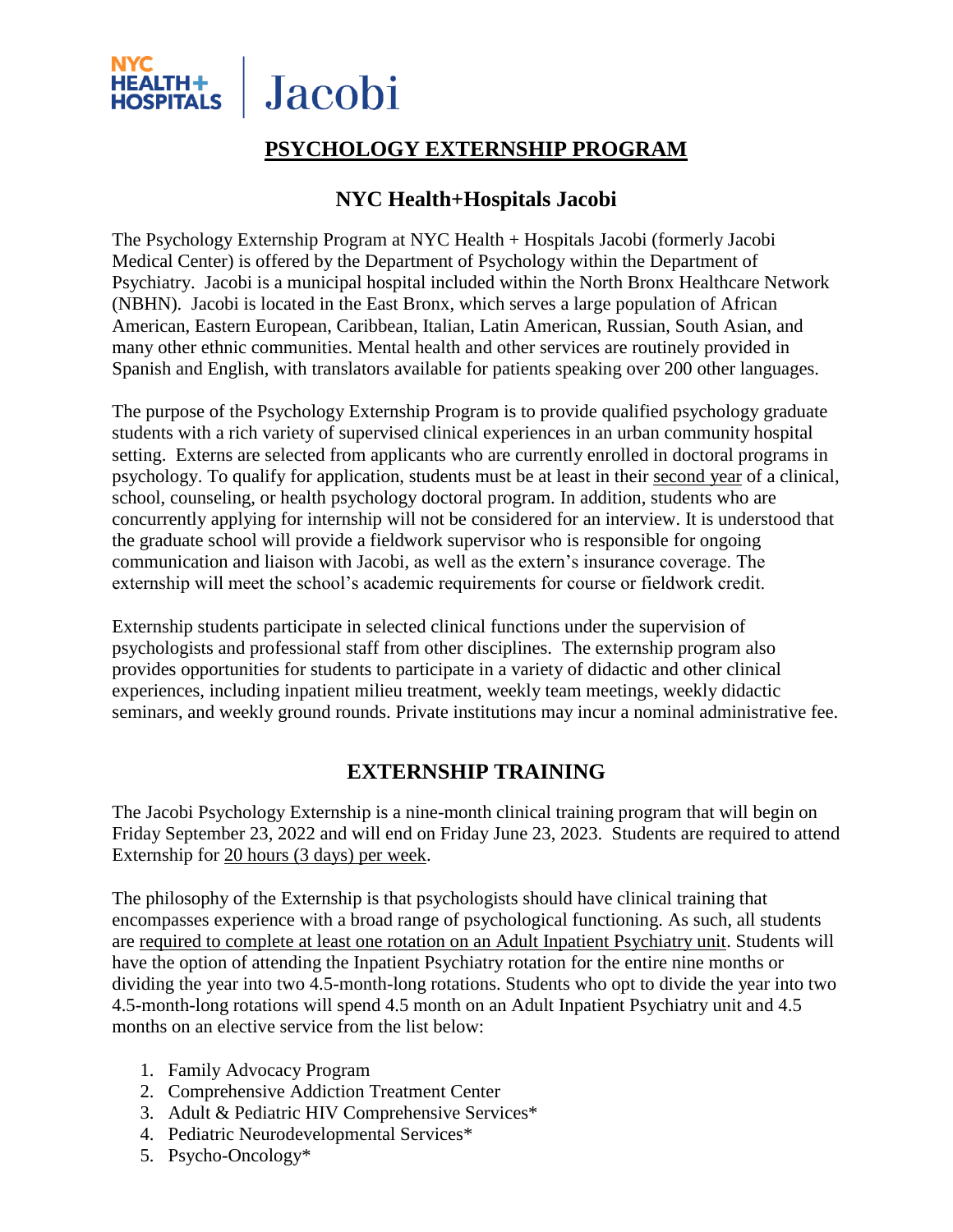

# **PSYCHOLOGY EXTERNSHIP PROGRAM**

# **NYC Health+Hospitals Jacobi**

The Psychology Externship Program at NYC Health + Hospitals Jacobi (formerly Jacobi Medical Center) is offered by the Department of Psychology within the Department of Psychiatry. Jacobi is a municipal hospital included within the North Bronx Healthcare Network (NBHN). Jacobi is located in the East Bronx, which serves a large population of African American, Eastern European, Caribbean, Italian, Latin American, Russian, South Asian, and many other ethnic communities. Mental health and other services are routinely provided in Spanish and English, with translators available for patients speaking over 200 other languages.

The purpose of the Psychology Externship Program is to provide qualified psychology graduate students with a rich variety of supervised clinical experiences in an urban community hospital setting. Externs are selected from applicants who are currently enrolled in doctoral programs in psychology. To qualify for application, students must be at least in their second year of a clinical, school, counseling, or health psychology doctoral program. In addition, students who are concurrently applying for internship will not be considered for an interview. It is understood that the graduate school will provide a fieldwork supervisor who is responsible for ongoing communication and liaison with Jacobi, as well as the extern's insurance coverage. The externship will meet the school's academic requirements for course or fieldwork credit.

Externship students participate in selected clinical functions under the supervision of psychologists and professional staff from other disciplines. The externship program also provides opportunities for students to participate in a variety of didactic and other clinical experiences, including inpatient milieu treatment, weekly team meetings, weekly didactic seminars, and weekly ground rounds. Private institutions may incur a nominal administrative fee.

# **EXTERNSHIP TRAINING**

The Jacobi Psychology Externship is a nine-month clinical training program that will begin on Friday September 23, 2022 and will end on Friday June 23, 2023. Students are required to attend Externship for 20 hours (3 days) per week.

The philosophy of the Externship is that psychologists should have clinical training that encompasses experience with a broad range of psychological functioning. As such, all students are required to complete at least one rotation on an Adult Inpatient Psychiatry unit. Students will have the option of attending the Inpatient Psychiatry rotation for the entire nine months or dividing the year into two 4.5-month-long rotations. Students who opt to divide the year into two 4.5-month-long rotations will spend 4.5 month on an Adult Inpatient Psychiatry unit and 4.5 months on an elective service from the list below:

- 1. Family Advocacy Program
- 2. Comprehensive Addiction Treatment Center
- 3. Adult & Pediatric HIV Comprehensive Services\*
- 4. Pediatric Neurodevelopmental Services\*
- 5. Psycho-Oncology\*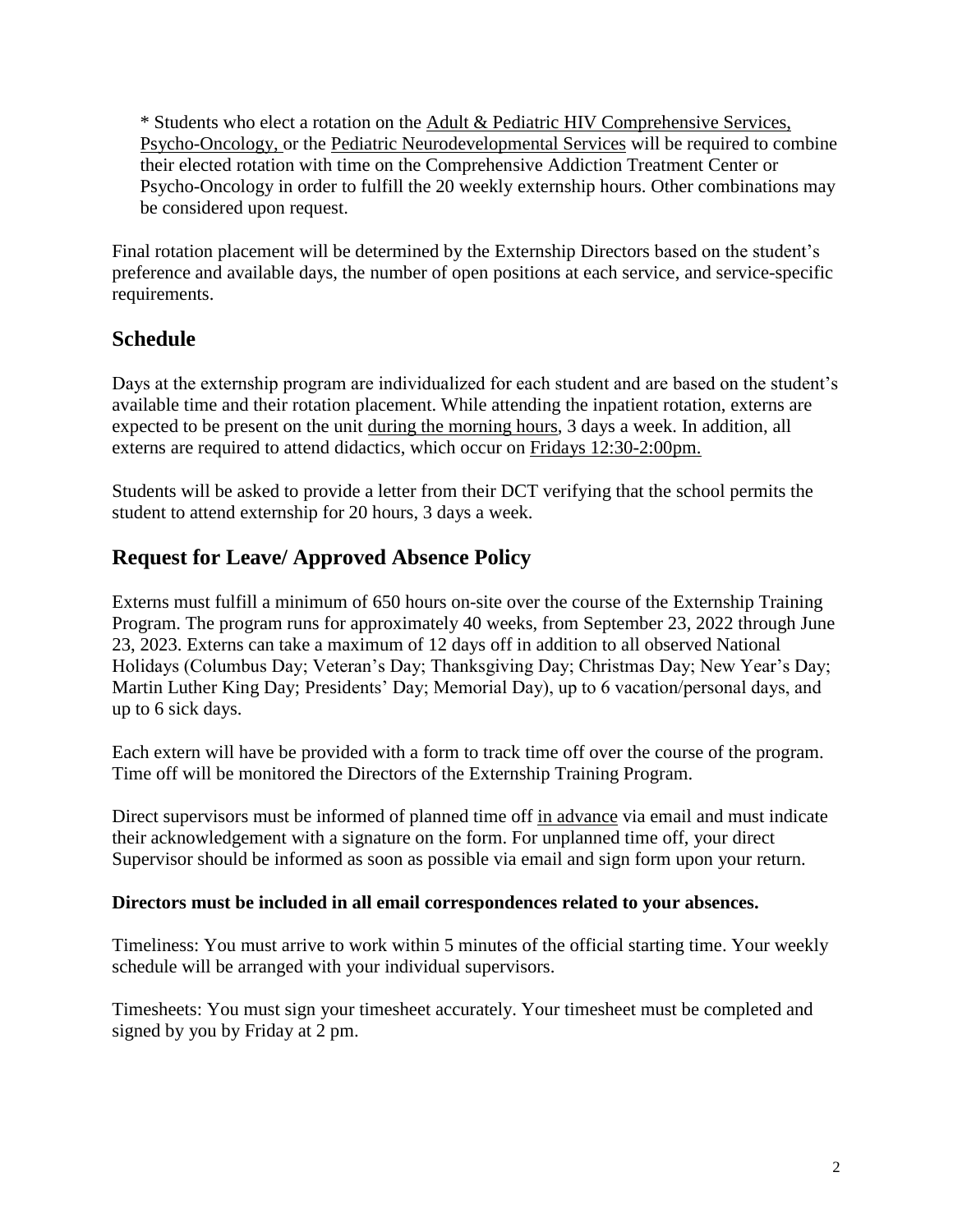\* Students who elect a rotation on the Adult & Pediatric HIV Comprehensive Services, Psycho-Oncology, or the Pediatric Neurodevelopmental Services will be required to combine their elected rotation with time on the Comprehensive Addiction Treatment Center or Psycho-Oncology in order to fulfill the 20 weekly externship hours. Other combinations may be considered upon request.

Final rotation placement will be determined by the Externship Directors based on the student's preference and available days, the number of open positions at each service, and service-specific requirements.

# **Schedule**

Days at the externship program are individualized for each student and are based on the student's available time and their rotation placement. While attending the inpatient rotation, externs are expected to be present on the unit during the morning hours, 3 days a week. In addition, all externs are required to attend didactics, which occur on Fridays 12:30-2:00pm.

Students will be asked to provide a letter from their DCT verifying that the school permits the student to attend externship for 20 hours, 3 days a week.

# **Request for Leave/ Approved Absence Policy**

Externs must fulfill a minimum of 650 hours on-site over the course of the Externship Training Program. The program runs for approximately 40 weeks, from September 23, 2022 through June 23, 2023. Externs can take a maximum of 12 days off in addition to all observed National Holidays (Columbus Day; Veteran's Day; Thanksgiving Day; Christmas Day; New Year's Day; Martin Luther King Day; Presidents' Day; Memorial Day), up to 6 vacation/personal days, and up to 6 sick days.

Each extern will have be provided with a form to track time off over the course of the program. Time off will be monitored the Directors of the Externship Training Program.

Direct supervisors must be informed of planned time off in advance via email and must indicate their acknowledgement with a signature on the form. For unplanned time off, your direct Supervisor should be informed as soon as possible via email and sign form upon your return.

### **Directors must be included in all email correspondences related to your absences.**

Timeliness: You must arrive to work within 5 minutes of the official starting time. Your weekly schedule will be arranged with your individual supervisors.

Timesheets: You must sign your timesheet accurately. Your timesheet must be completed and signed by you by Friday at 2 pm.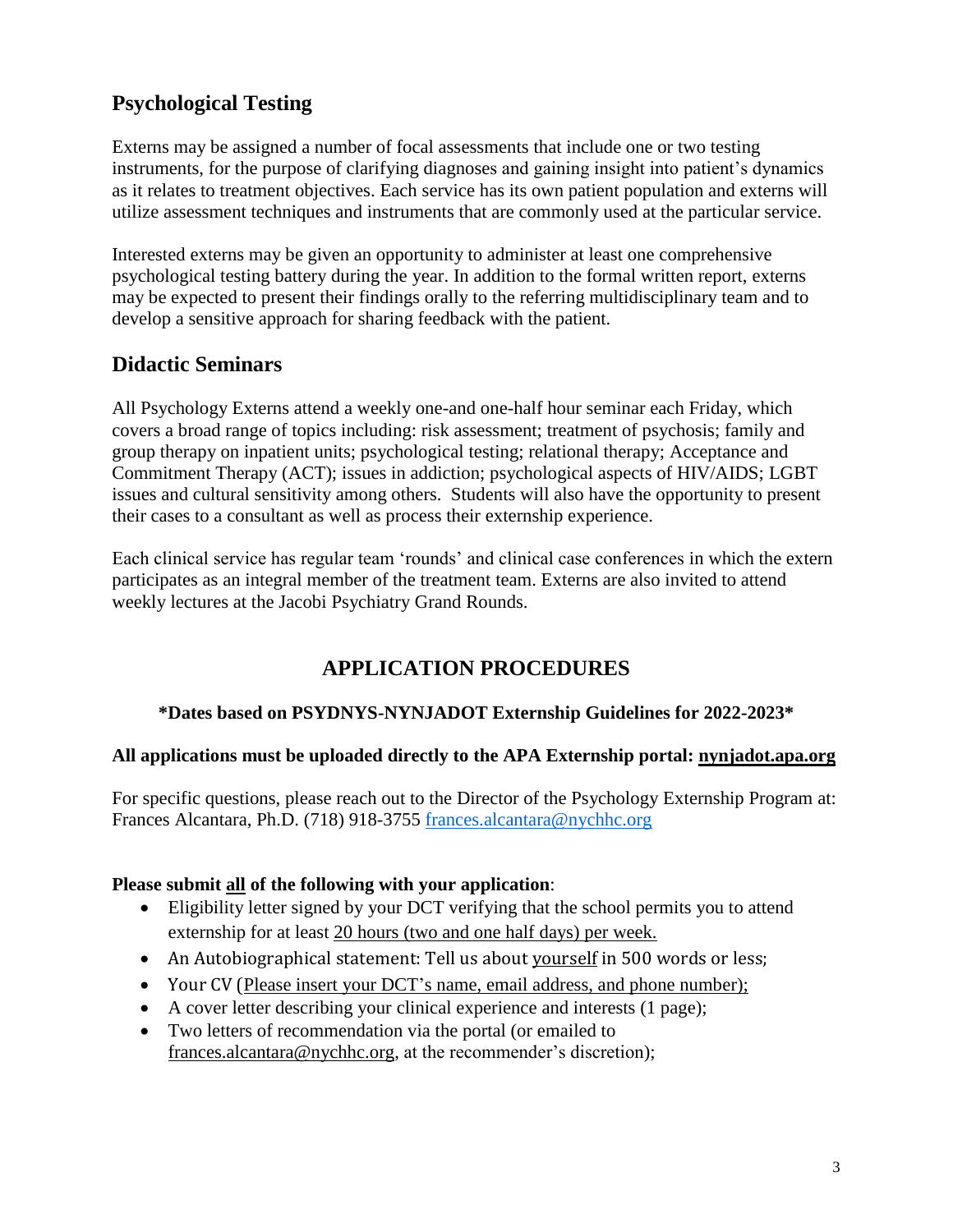# **Psychological Testing**

Externs may be assigned a number of focal assessments that include one or two testing instruments, for the purpose of clarifying diagnoses and gaining insight into patient's dynamics as it relates to treatment objectives. Each service has its own patient population and externs will utilize assessment techniques and instruments that are commonly used at the particular service.

Interested externs may be given an opportunity to administer at least one comprehensive psychological testing battery during the year. In addition to the formal written report, externs may be expected to present their findings orally to the referring multidisciplinary team and to develop a sensitive approach for sharing feedback with the patient.

## **Didactic Seminars**

All Psychology Externs attend a weekly one-and one-half hour seminar each Friday, which covers a broad range of topics including: risk assessment; treatment of psychosis; family and group therapy on inpatient units; psychological testing; relational therapy; Acceptance and Commitment Therapy (ACT); issues in addiction; psychological aspects of HIV/AIDS; LGBT issues and cultural sensitivity among others. Students will also have the opportunity to present their cases to a consultant as well as process their externship experience.

Each clinical service has regular team 'rounds' and clinical case conferences in which the extern participates as an integral member of the treatment team. Externs are also invited to attend weekly lectures at the Jacobi Psychiatry Grand Rounds.

# **APPLICATION PROCEDURES**

### **\*Dates based on PSYDNYS-NYNJADOT Externship Guidelines for 2022-2023\***

### **All applications must be uploaded directly to the APA Externship portal: nynjadot.apa.org**

For specific questions, please reach out to the Director of the Psychology Externship Program at: Frances Alcantara, Ph.D. (718) 918-3755 [frances.alcantara@nychhc.org](mailto:frances.alcantara@nychhc.org)

### **Please submit all of the following with your application**:

- Eligibility letter signed by your DCT verifying that the school permits you to attend externship for at least 20 hours (two and one half days) per week.
- An Autobiographical statement: Tell us about yourself in 500 words or less;
- Your CV (Please insert your DCT's name, email address, and phone number);
- A cover letter describing your clinical experience and interests (1 page);
- Two letters of recommendation via the portal (or emailed to [frances.alcantara@nychhc.org,](mailto:frances.alcantara@nychhc.org) at the recommender's discretion);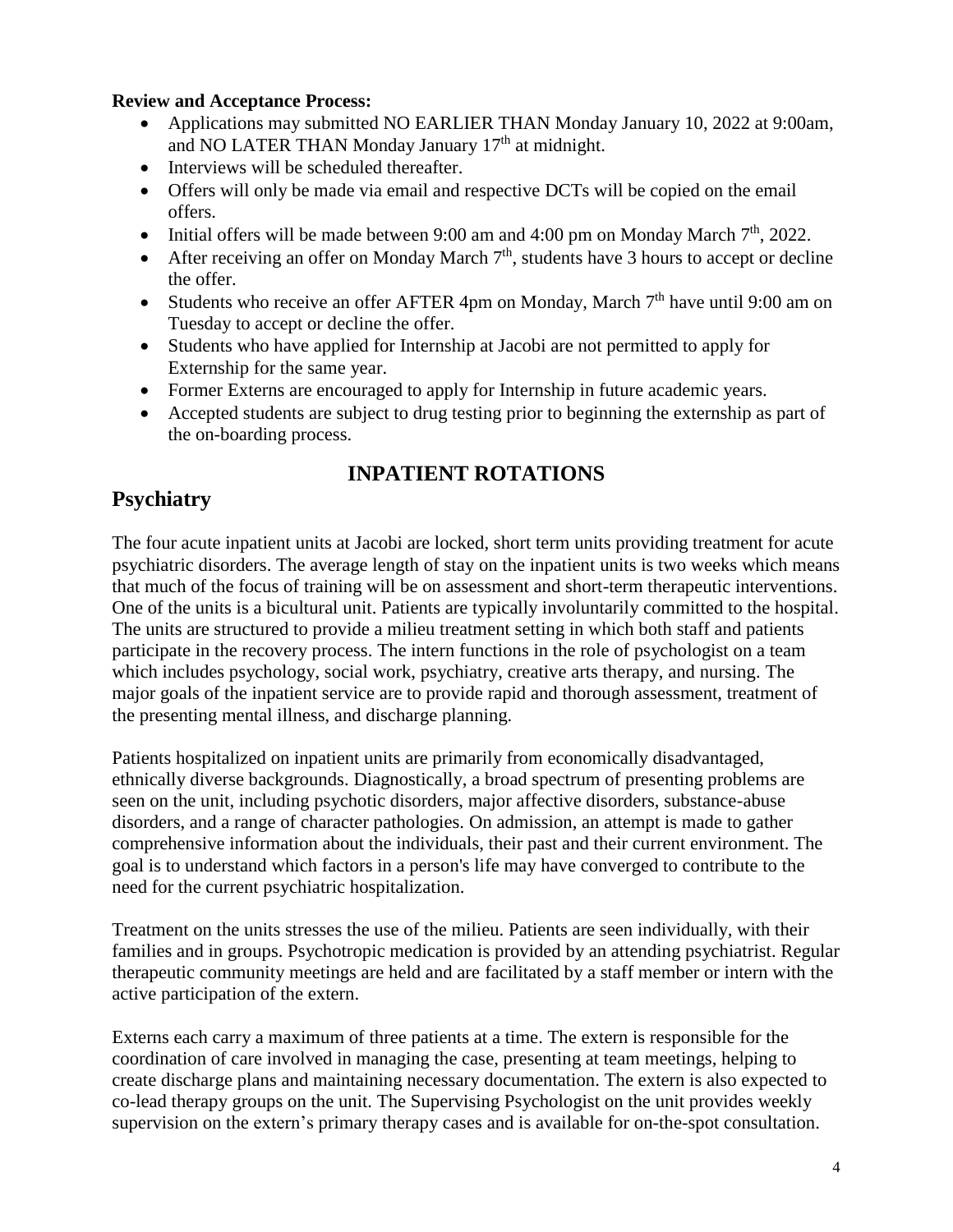### **Review and Acceptance Process:**

- Applications may submitted NO EARLIER THAN Monday January 10, 2022 at 9:00am, and NO LATER THAN Monday January 17<sup>th</sup> at midnight.
- Interviews will be scheduled thereafter.
- Offers will only be made via email and respective DCTs will be copied on the email offers.
- Initial offers will be made between 9:00 am and 4:00 pm on Monday March  $7<sup>th</sup>$ , 2022.
- After receiving an offer on Monday March  $7<sup>th</sup>$ , students have 3 hours to accept or decline the offer.
- Students who receive an offer AFTER 4pm on Monday, March  $7<sup>th</sup>$  have until 9:00 am on Tuesday to accept or decline the offer.
- Students who have applied for Internship at Jacobi are not permitted to apply for Externship for the same year.
- Former Externs are encouraged to apply for Internship in future academic years.
- Accepted students are subject to drug testing prior to beginning the externship as part of the on-boarding process.

# **INPATIENT ROTATIONS**

# **Psychiatry**

The four acute inpatient units at Jacobi are locked, short term units providing treatment for acute psychiatric disorders. The average length of stay on the inpatient units is two weeks which means that much of the focus of training will be on assessment and short-term therapeutic interventions. One of the units is a bicultural unit. Patients are typically involuntarily committed to the hospital. The units are structured to provide a milieu treatment setting in which both staff and patients participate in the recovery process. The intern functions in the role of psychologist on a team which includes psychology, social work, psychiatry, creative arts therapy, and nursing. The major goals of the inpatient service are to provide rapid and thorough assessment, treatment of the presenting mental illness, and discharge planning.

Patients hospitalized on inpatient units are primarily from economically disadvantaged, ethnically diverse backgrounds. Diagnostically, a broad spectrum of presenting problems are seen on the unit, including psychotic disorders, major affective disorders, substance-abuse disorders, and a range of character pathologies. On admission, an attempt is made to gather comprehensive information about the individuals, their past and their current environment. The goal is to understand which factors in a person's life may have converged to contribute to the need for the current psychiatric hospitalization.

Treatment on the units stresses the use of the milieu. Patients are seen individually, with their families and in groups. Psychotropic medication is provided by an attending psychiatrist. Regular therapeutic community meetings are held and are facilitated by a staff member or intern with the active participation of the extern.

Externs each carry a maximum of three patients at a time. The extern is responsible for the coordination of care involved in managing the case, presenting at team meetings, helping to create discharge plans and maintaining necessary documentation. The extern is also expected to co-lead therapy groups on the unit. The Supervising Psychologist on the unit provides weekly supervision on the extern's primary therapy cases and is available for on-the-spot consultation.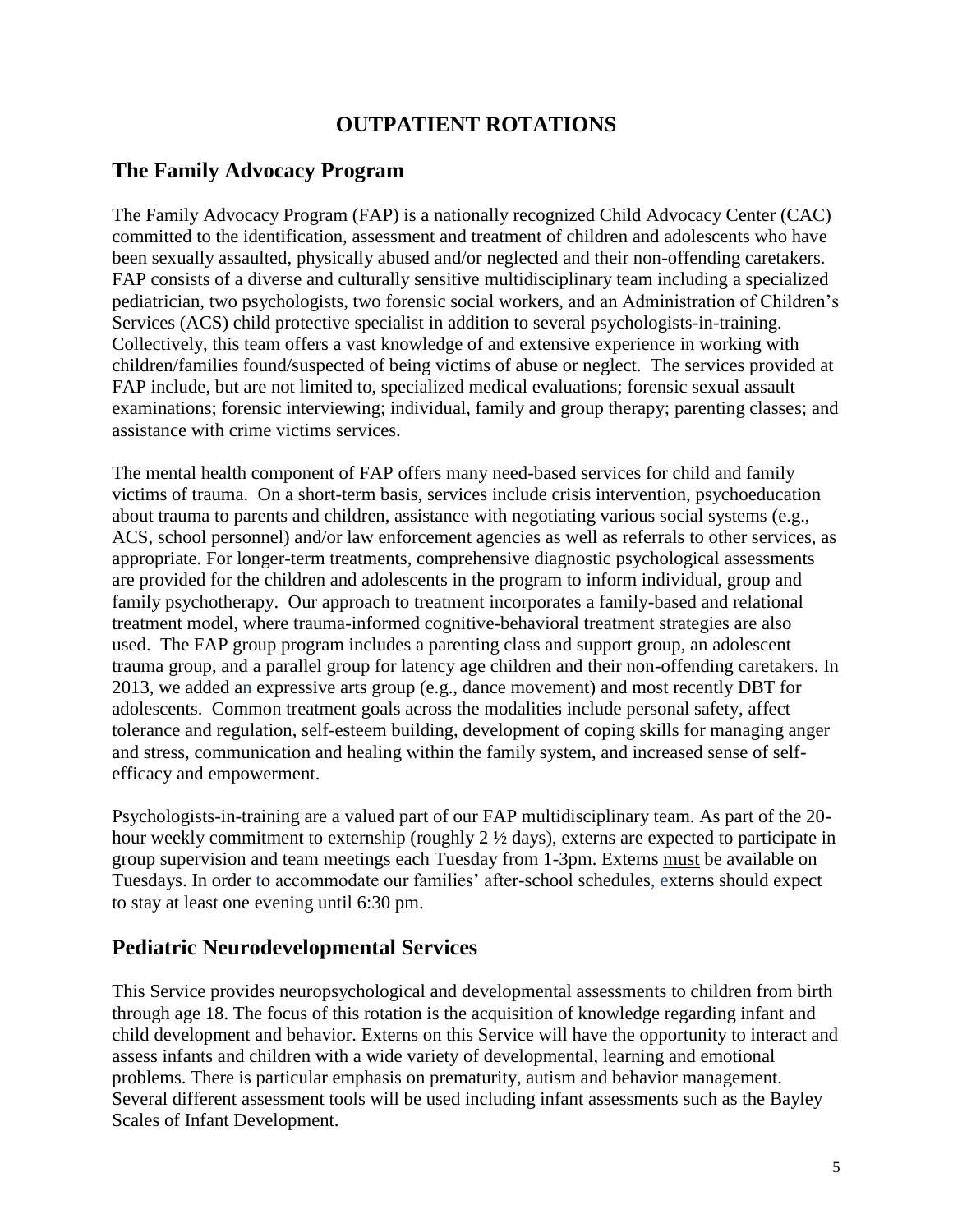# **OUTPATIENT ROTATIONS**

## **The Family Advocacy Program**

The Family Advocacy Program (FAP) is a nationally recognized Child Advocacy Center (CAC) committed to the identification, assessment and treatment of children and adolescents who have been sexually assaulted, physically abused and/or neglected and their non-offending caretakers. FAP consists of a diverse and culturally sensitive multidisciplinary team including a specialized pediatrician, two psychologists, two forensic social workers, and an Administration of Children's Services (ACS) child protective specialist in addition to several psychologists-in-training. Collectively, this team offers a vast knowledge of and extensive experience in working with children/families found/suspected of being victims of abuse or neglect. The services provided at FAP include, but are not limited to, specialized medical evaluations; forensic sexual assault examinations; forensic interviewing; individual, family and group therapy; parenting classes; and assistance with crime victims services.

The mental health component of FAP offers many need-based services for child and family victims of trauma. On a short-term basis, services include crisis intervention, psychoeducation about trauma to parents and children, assistance with negotiating various social systems (e.g., ACS, school personnel) and/or law enforcement agencies as well as referrals to other services, as appropriate. For longer-term treatments, comprehensive diagnostic psychological assessments are provided for the children and adolescents in the program to inform individual, group and family psychotherapy. Our approach to treatment incorporates a family-based and relational treatment model, where trauma-informed cognitive-behavioral treatment strategies are also used. The FAP group program includes a parenting class and support group, an adolescent trauma group, and a parallel group for latency age children and their non-offending caretakers. In 2013, we added an expressive arts group (e.g., dance movement) and most recently DBT for adolescents. Common treatment goals across the modalities include personal safety, affect tolerance and regulation, self-esteem building, development of coping skills for managing anger and stress, communication and healing within the family system, and increased sense of selfefficacy and empowerment.

Psychologists-in-training are a valued part of our FAP multidisciplinary team. As part of the 20 hour weekly commitment to externship (roughly 2 ½ days), externs are expected to participate in group supervision and team meetings each Tuesday from 1-3pm. Externs must be available on Tuesdays. In order to accommodate our families' after-school schedules, externs should expect to stay at least one evening until 6:30 pm.

## **Pediatric Neurodevelopmental Services**

This Service provides neuropsychological and developmental assessments to children from birth through age 18. The focus of this rotation is the acquisition of knowledge regarding infant and child development and behavior. Externs on this Service will have the opportunity to interact and assess infants and children with a wide variety of developmental, learning and emotional problems. There is particular emphasis on prematurity, autism and behavior management. Several different assessment tools will be used including infant assessments such as the Bayley Scales of Infant Development.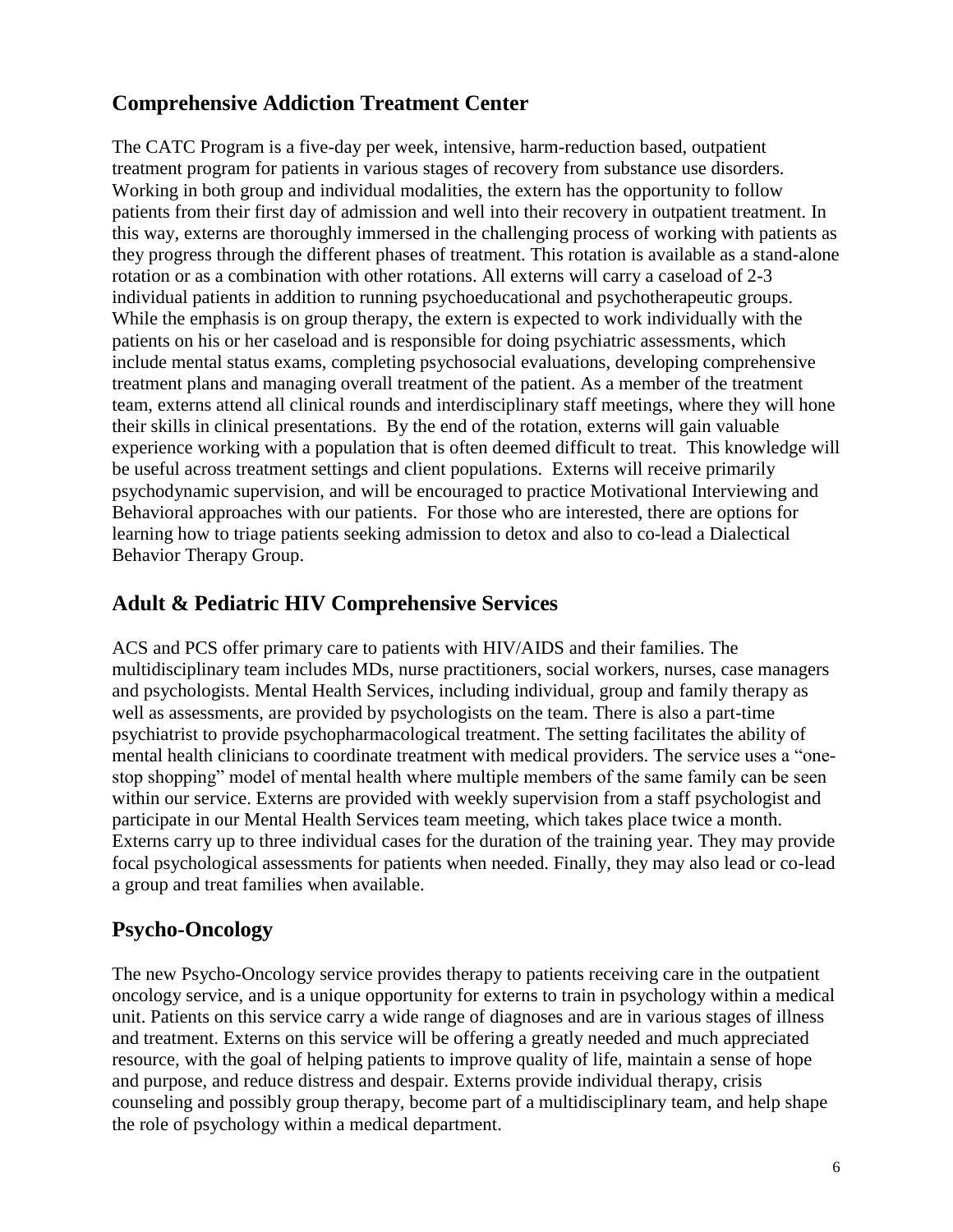# **Comprehensive Addiction Treatment Center**

The CATC Program is a five-day per week, intensive, harm-reduction based, outpatient treatment program for patients in various stages of recovery from substance use disorders. Working in both group and individual modalities, the extern has the opportunity to follow patients from their first day of admission and well into their recovery in outpatient treatment. In this way, externs are thoroughly immersed in the challenging process of working with patients as they progress through the different phases of treatment. This rotation is available as a stand-alone rotation or as a combination with other rotations. All externs will carry a caseload of 2-3 individual patients in addition to running psychoeducational and psychotherapeutic groups. While the emphasis is on group therapy, the extern is expected to work individually with the patients on his or her caseload and is responsible for doing psychiatric assessments, which include mental status exams, completing psychosocial evaluations, developing comprehensive treatment plans and managing overall treatment of the patient. As a member of the treatment team, externs attend all clinical rounds and interdisciplinary staff meetings, where they will hone their skills in clinical presentations. By the end of the rotation, externs will gain valuable experience working with a population that is often deemed difficult to treat. This knowledge will be useful across treatment settings and client populations. Externs will receive primarily psychodynamic supervision, and will be encouraged to practice Motivational Interviewing and Behavioral approaches with our patients. For those who are interested, there are options for learning how to triage patients seeking admission to detox and also to co-lead a Dialectical Behavior Therapy Group.

## **Adult & Pediatric HIV Comprehensive Services**

ACS and PCS offer primary care to patients with HIV/AIDS and their families. The multidisciplinary team includes MDs, nurse practitioners, social workers, nurses, case managers and psychologists. Mental Health Services, including individual, group and family therapy as well as assessments, are provided by psychologists on the team. There is also a part-time psychiatrist to provide psychopharmacological treatment. The setting facilitates the ability of mental health clinicians to coordinate treatment with medical providers. The service uses a "onestop shopping" model of mental health where multiple members of the same family can be seen within our service. Externs are provided with weekly supervision from a staff psychologist and participate in our Mental Health Services team meeting, which takes place twice a month. Externs carry up to three individual cases for the duration of the training year. They may provide focal psychological assessments for patients when needed. Finally, they may also lead or co-lead a group and treat families when available.

## **Psycho-Oncology**

The new Psycho-Oncology service provides therapy to patients receiving care in the outpatient oncology service, and is a unique opportunity for externs to train in psychology within a medical unit. Patients on this service carry a wide range of diagnoses and are in various stages of illness and treatment. Externs on this service will be offering a greatly needed and much appreciated resource, with the goal of helping patients to improve quality of life, maintain a sense of hope and purpose, and reduce distress and despair. Externs provide individual therapy, crisis counseling and possibly group therapy, become part of a multidisciplinary team, and help shape the role of psychology within a medical department.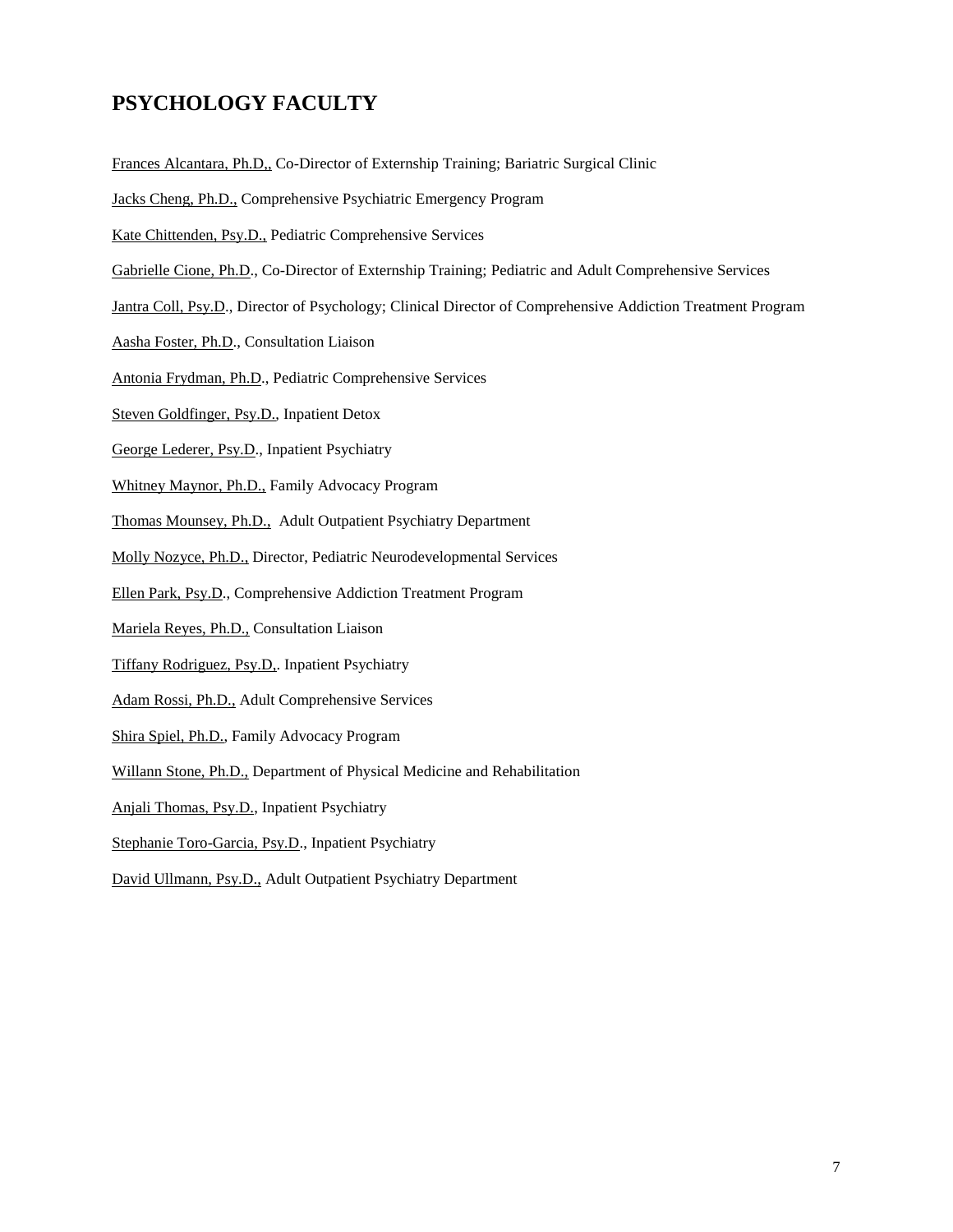# **PSYCHOLOGY FACULTY**

- Frances Alcantara, Ph.D,, Co-Director of Externship Training; Bariatric Surgical Clinic
- Jacks Cheng, Ph.D., Comprehensive Psychiatric Emergency Program
- Kate Chittenden, Psy.D., Pediatric Comprehensive Services
- Gabrielle Cione, Ph.D., Co-Director of Externship Training; Pediatric and Adult Comprehensive Services
- Jantra Coll, Psy.D., Director of Psychology; Clinical Director of Comprehensive Addiction Treatment Program
- Aasha Foster, Ph.D., Consultation Liaison
- Antonia Frydman, Ph.D., Pediatric Comprehensive Services
- Steven Goldfinger, Psy.D., Inpatient Detox
- George Lederer, Psy.D., Inpatient Psychiatry
- Whitney Maynor, Ph.D., Family Advocacy Program
- Thomas Mounsey, Ph.D., Adult Outpatient Psychiatry Department
- Molly Nozyce, Ph.D., Director, Pediatric Neurodevelopmental Services
- Ellen Park, Psy.D., Comprehensive Addiction Treatment Program
- Mariela Reyes, Ph.D., Consultation Liaison
- Tiffany Rodriguez, Psy.D,. Inpatient Psychiatry
- Adam Rossi, Ph.D., Adult Comprehensive Services
- Shira Spiel, Ph.D., Family Advocacy Program
- Willann Stone, Ph.D., Department of Physical Medicine and Rehabilitation
- Anjali Thomas, Psy.D., Inpatient Psychiatry
- Stephanie Toro-Garcia, Psy.D., Inpatient Psychiatry
- David Ullmann, Psy.D., Adult Outpatient Psychiatry Department